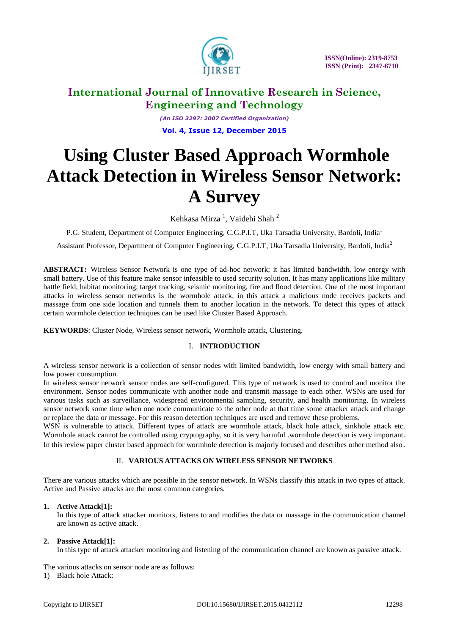

*(An ISO 3297: 2007 Certified Organization)* **Vol. 4, Issue 12, December 2015**

# **Using Cluster Based Approach Wormhole Attack Detection in Wireless Sensor Network: A Survey**

Kehkasa Mirza<sup>1</sup>, Vaidehi Shah<sup>2</sup>

P.G. Student, Department of Computer Engineering, C.G.P.I.T, Uka Tarsadia University, Bardoli, India<sup>1</sup>

Assistant Professor, Department of Computer Engineering, C.G.P.I.T, Uka Tarsadia University, Bardoli, India<sup>2</sup>

**ABSTRACT:** Wireless Sensor Network is one type of ad-hoc network; it has limited bandwidth, low energy with small battery. Use of this feature make sensor infeasible to used security solution. It has many applications like military battle field, habitat monitoring, target tracking, seismic monitoring, fire and flood detection. One of the most important attacks in wireless sensor networks is the wormhole attack, in this attack a malicious node receives packets and massage from one side location and tunnels them to another location in the network. To detect this types of attack certain wormhole detection techniques can be used like Cluster Based Approach.

**KEYWORDS**: Cluster Node, Wireless sensor network, Wormhole attack, Clustering.

# I. **INTRODUCTION**

A wireless sensor network is a collection of sensor nodes with limited bandwidth, low energy with small battery and low power consumption.

In wireless sensor network sensor nodes are self-configured. This type of network is used to control and monitor the environment. Sensor nodes communicate with another node and transmit massage to each other. WSNs are used for various tasks such as surveillance, widespread environmental sampling, security, and health monitoring. In wireless sensor network some time when one node communicate to the other node at that time some attacker attack and change or replace the data or message. For this reason detection techniques are used and remove these problems.

WSN is vulnerable to attack. Different types of attack are wormhole attack, black hole attack, sinkhole attack etc. Wormhole attack cannot be controlled using cryptography, so it is very harmful .wormhole detection is very important. In this review paper cluster based approach for wormhole detection is majorly focused and describes other method also.

# II. **VARIOUS ATTACKS ON WIRELESS SENSOR NETWORKS**

There are various attacks which are possible in the sensor network. In WSNs classify this attack in two types of attack. Active and Passive attacks are the most common categories.

#### **1. Active Attack[1]:**

In this type of attack attacker monitors, listens to and modifies the data or massage in the communication channel are known as active attack.

# **2. Passive Attack[1]:**

In this type of attack attacker monitoring and listening of the communication channel are known as passive attack.

The various attacks on sensor node are as follows:

1) Black hole Attack: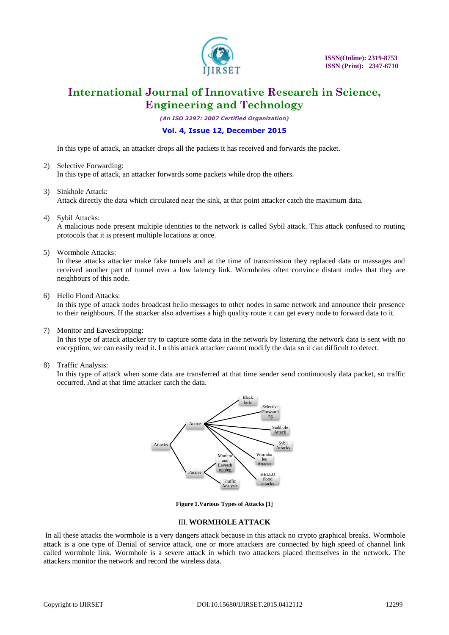

*(An ISO 3297: 2007 Certified Organization)*

### **Vol. 4, Issue 12, December 2015**

In this type of attack, an attacker drops all the packets it has received and forwards the packet.

- 2) Selective Forwarding: In this type of attack, an attacker forwards some packets while drop the others.
- 3) Sinkhole Attack: Attack directly the data which circulated near the sink, at that point attacker catch the maximum data.
- 4) Sybil Attacks:

A malicious node present multiple identities to the network is called Sybil attack. This attack confused to routing protocols that it is present multiple locations at once.

5) Wormhole Attacks:

In these attacks attacker make fake tunnels and at the time of transmission they replaced data or massages and received another part of tunnel over a low latency link. Wormholes often convince distant nodes that they are neighbours of this node.

6) Hello Flood Attacks:

In this type of attack nodes broadcast hello messages to other nodes in same network and announce their presence to their neighbours. If the attacker also advertises a high quality route it can get every node to forward data to it.

7) Monitor and Eavesdropping:

In this type of attack attacker try to capture some data in the network by listening the network data is sent with no encryption, we can easily read it. I n this attack attacker cannot modify the data so it can difficult to detect.

8) Traffic Analysis:

In this type of attack when some data are transferred at that time sender send continuously data packet, so traffic occurred. And at that time attacker catch the data.



**Figure 1.Various Types of Attacks [1]**

#### III. **WORMHOLE ATTACK**

In all these attacks the wormhole is a very dangers attack because in this attack no crypto graphical breaks. Wormhole attack is a one type of Denial of service attack, one or more attackers are connected by high speed of channel link called wormhole link. Wormhole is a severe attack in which two attackers placed themselves in the network. The attackers monitor the network and record the wireless data.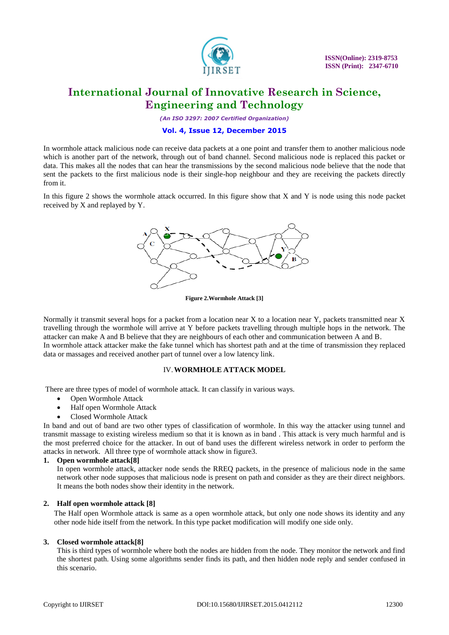

*(An ISO 3297: 2007 Certified Organization)*

#### **Vol. 4, Issue 12, December 2015**

In wormhole attack malicious node can receive data packets at a one point and transfer them to another malicious node which is another part of the network, through out of band channel. Second malicious node is replaced this packet or data. This makes all the nodes that can hear the transmissions by the second malicious node believe that the node that sent the packets to the first malicious node is their single-hop neighbour and they are receiving the packets directly from it.

In this figure 2 shows the wormhole attack occurred. In this figure show that X and Y is node using this node packet received by X and replayed by Y.



**Figure 2.Wormhole Attack [3]**

Normally it transmit several hops for a packet from a location near X to a location near Y, packets transmitted near X travelling through the wormhole will arrive at Y before packets travelling through multiple hops in the network. The attacker can make A and B believe that they are neighbours of each other and communication between A and B. In wormhole attack attacker make the fake tunnel which has shortest path and at the time of transmission they replaced data or massages and received another part of tunnel over a low latency link.

### IV.**WORMHOLE ATTACK MODEL**

There are three types of model of wormhole attack. It can classify in various ways.

- Open Wormhole Attack
- Half open Wormhole Attack
- Closed Wormhole Attack

In band and out of band are two other types of classification of wormhole. In this way the attacker using tunnel and transmit massage to existing wireless medium so that it is known as in band . This attack is very much harmful and is the most preferred choice for the attacker. In out of band uses the different wireless network in order to perform the attacks in network. All three type of wormhole attack show in figure3.

#### **1. Open wormhole attack[8]**

In open wormhole attack, attacker node sends the RREQ packets, in the presence of malicious node in the same network other node supposes that malicious node is present on path and consider as they are their direct neighbors. It means the both nodes show their identity in the network.

#### **2. Half open wormhole attack [8]**

The Half open Wormhole attack is same as a open wormhole attack, but only one node shows its identity and any other node hide itself from the network. In this type packet modification will modify one side only.

#### **3. Closed wormhole attack[8]**

This is third types of wormhole where both the nodes are hidden from the node. They monitor the network and find the shortest path. Using some algorithms sender finds its path, and then hidden node reply and sender confused in this scenario.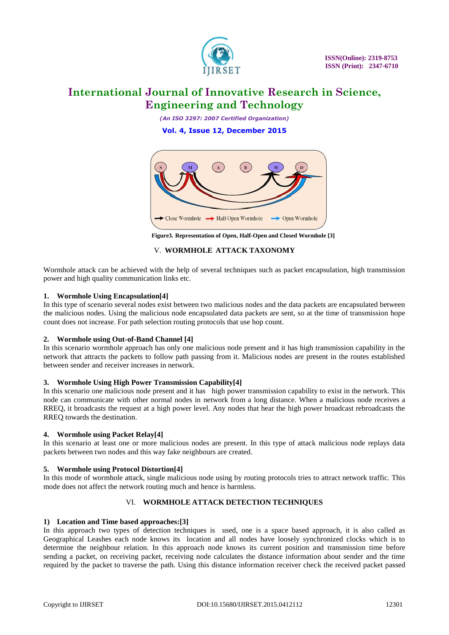

*(An ISO 3297: 2007 Certified Organization)* **Vol. 4, Issue 12, December 2015**



**Figure3. Representation of Open, Half-Open and Closed Wormhole [3]**

### V. **WORMHOLE ATTACK TAXONOMY**

Wormhole attack can be achieved with the help of several techniques such as packet encapsulation, high transmission power and high quality communication links etc.

#### **1. Wormhole Using Encapsulation[4]**

In this type of scenario several nodes exist between two malicious nodes and the data packets are encapsulated between the malicious nodes. Using the malicious node encapsulated data packets are sent, so at the time of transmission hope count does not increase. For path selection routing protocols that use hop count.

#### **2. Wormhole using Out-of-Band Channel [4]**

In this scenario wormhole approach has only one malicious node present and it has high transmission capability in the network that attracts the packets to follow path passing from it. Malicious nodes are present in the routes established between sender and receiver increases in network.

#### **3. Wormhole Using High Power Transmission Capability[4]**

In this scenario one malicious node present and it has high power transmission capability to exist in the network. This node can communicate with other normal nodes in network from a long distance. When a malicious node receives a RREQ, it broadcasts the request at a high power level. Any nodes that hear the high power broadcast rebroadcasts the RREQ towards the destination.

#### **4. Wormhole using Packet Relay[4]**

In this scenario at least one or more malicious nodes are present. In this type of attack malicious node replays data packets between two nodes and this way fake neighbours are created.

# **5. Wormhole using Protocol Distortion[4]**

In this mode of wormhole attack, single malicious node using by routing protocols tries to attract network traffic. This mode does not affect the network routing much and hence is harmless.

# VI. **WORMHOLE ATTACK DETECTION TECHNIQUES**

#### **1) Location and Time based approaches:[3]**

In this approach two types of detection techniques is used, one is a space based approach, it is also called as Geographical Leashes each node knows its location and all nodes have loosely synchronized clocks which is to determine the neighbour relation. In this approach node knows its current position and transmission time before sending a packet, on receiving packet, receiving node calculates the distance information about sender and the time required by the packet to traverse the path. Using this distance information receiver check the received packet passed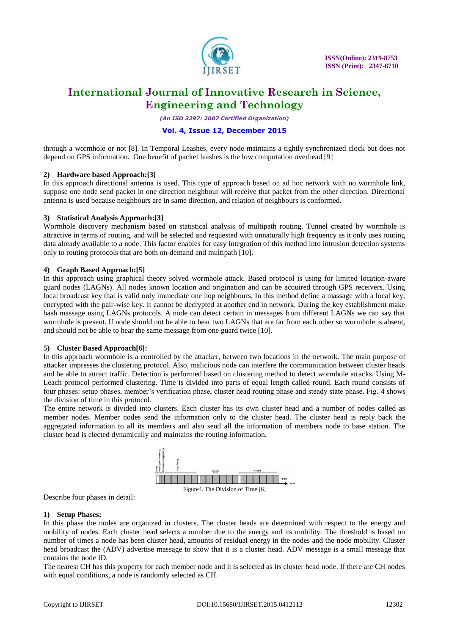

*(An ISO 3297: 2007 Certified Organization)*

### **Vol. 4, Issue 12, December 2015**

through a wormhole or not [8]. In Temporal Leashes, every node maintains a tightly synchronized clock but does not depend on GPS information. One benefit of packet leashes is the low computation overhead [9]

#### **2) Hardware based Approach:[3]**

In this approach directional antenna is used. This type of approach based on ad hoc network with no wormhole link, suppose one node send packet in one direction neighbour will receive that packet from the other direction. Directional antenna is used because neighbours are in same direction, and relation of neighbours is conformed.

#### **3) Statistical Analysis Approach:[3]**

Wormhole discovery mechanism based on statistical analysis of multipath routing. Tunnel created by wormhole is attractive in terms of routing, and will be selected and requested with unnaturally high frequency as it only uses routing data already available to a node. This factor enables for easy integration of this method into intrusion detection systems only to routing protocols that are both on-demand and multipath [10].

#### **4) Graph Based Approach:[5]**

In this approach using graphical theory solved wormhole attack. Based protocol is using for limited location-aware guard nodes (LAGNs). All nodes known location and origination and can be acquired through GPS receivers. Using local broadcast key that is valid only immediate one hop neighbours. In this method define a massage with a local key, encrypted with the pair-wise key. It cannot be decrypted at another end in network. During the key establishment make hash massage using LAGNs protocols. A node can detect certain in messages from different LAGNs we can say that wormhole is present. If node should not be able to hear two LAGNs that are far from each other so wormhole is absent, and should not be able to hear the same message from one guard twice [10].

#### **5) Cluster Based Approach[6]:**

In this approach wormhole is a controlled by the attacker, between two locations in the network. The main purpose of attacker impresses the clustering protocol. Also, malicious node can interfere the communication between cluster heads and be able to attract traffic. Detection is performed based on clustering method to detect wormhole attacks. Using M-Leach protocol performed clustering. Time is divided into parts of equal length called round. Each round consists of four phases: setup phases, member's verification phase, cluster head routing phase and steady state phase. Fig. 4 shows the division of time in this protocol.

The entire network is divided into clusters. Each cluster has its own cluster head and a number of nodes called as member nodes. Member nodes send the information only to the cluster head. The cluster head is reply back the aggregated information to all its members and also send all the information of members node to base station. The cluster head is elected dynamically and maintains the routing information.



Describe four phases in detail:

#### **1) Setup Phases:**

In this phase the nodes are organized in clusters. The cluster heads are determined with respect to the energy and mobility of nodes. Each cluster head selects a number due to the energy and its mobility. The threshold is based on number of times a node has been cluster head, amounts of residual energy in the nodes and the node mobility. Cluster head broadcast the (ADV) advertise massage to show that it is a cluster head. ADV message is a small message that contains the node ID.

The nearest CH has this property for each member node and it is selected as its cluster head node. If there are CH nodes with equal conditions, a node is randomly selected as CH.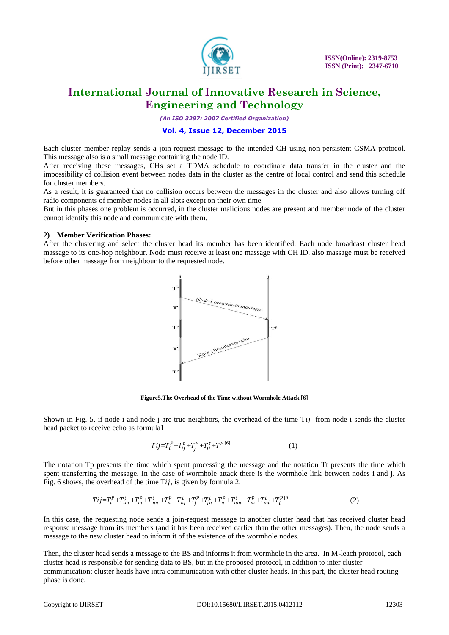

*(An ISO 3297: 2007 Certified Organization)*

### **Vol. 4, Issue 12, December 2015**

Each cluster member replay sends a join-request message to the intended CH using non-persistent CSMA protocol. This message also is a small message containing the node ID.

After receiving these messages, CHs set a TDMA schedule to coordinate data transfer in the cluster and the impossibility of collision event between nodes data in the cluster as the centre of local control and send this schedule for cluster members.

As a result, it is guaranteed that no collision occurs between the messages in the cluster and also allows turning off radio components of member nodes in all slots except on their own time.

But in this phases one problem is occurred, in the cluster malicious nodes are present and member node of the cluster cannot identify this node and communicate with them.

#### **2) Member Verification Phases:**

After the clustering and select the cluster head its member has been identified. Each node broadcast cluster head massage to its one-hop neighbour. Node must receive at least one massage with CH ID, also massage must be received before other massage from neighbour to the requested node.



**Figure5.The Overhead of the Time without Wormhole Attack [6]**

Shown in Fig. 5, if node i and node j are true neighbors, the overhead of the time  $Ti\bar{j}$  from node i sends the cluster head packet to receive echo as formula1

$$
Tij = T_i^P + T_{ij}^t + T_j^p + T_{ji}^t + T_i^{p[6]}
$$
 (1)

The notation Tp presents the time which spent processing the message and the notation Tt presents the time which spent transferring the message. In the case of wormhole attack there is the wormhole link between nodes i and j. As Fig. 6 shows, the overhead of the time  $Ti$ , is given by formula 2.

$$
Tij = T_i^P + T_{im}^t + T_m^p + T_{mn}^t + T_n^p + T_{nj}^t + T_j^p + T_{jn}^t + T_n^p + T_{nm}^t + T_m^p + T_{mi}^t + T_i^p{}^{(6)}
$$
(2)

In this case, the requesting node sends a join-request message to another cluster head that has received cluster head response message from its members (and it has been received earlier than the other messages). Then, the node sends a message to the new cluster head to inform it of the existence of the wormhole nodes.

Then, the cluster head sends a message to the BS and informs it from wormhole in the area. In M-leach protocol, each cluster head is responsible for sending data to BS, but in the proposed protocol, in addition to inter cluster communication; cluster heads have intra communication with other cluster heads. In this part, the cluster head routing phase is done.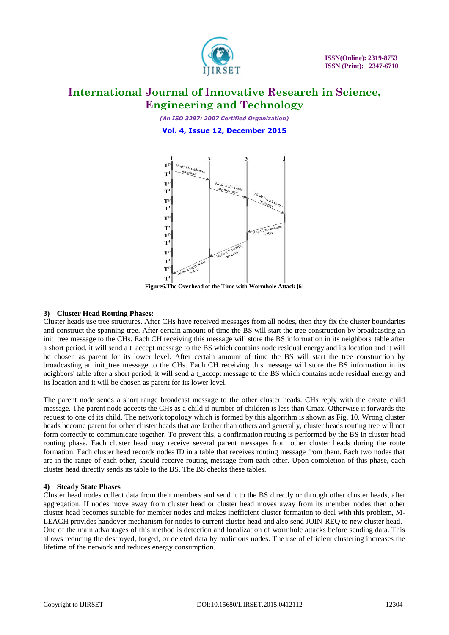

*(An ISO 3297: 2007 Certified Organization)* **Vol. 4, Issue 12, December 2015**



**Figure6.The Overhead of the Time with Wormhole Attack [6]**

### **3) Cluster Head Routing Phases:**

Cluster heads use tree structures. After CHs have received messages from all nodes, then they fix the cluster boundaries and construct the spanning tree. After certain amount of time the BS will start the tree construction by broadcasting an init\_tree message to the CHs. Each CH receiving this message will store the BS information in its neighbors' table after a short period, it will send a t\_accept message to the BS which contains node residual energy and its location and it will be chosen as parent for its lower level. After certain amount of time the BS will start the tree construction by broadcasting an init tree message to the CHs. Each CH receiving this message will store the BS information in its neighbors' table after a short period, it will send a t\_accept message to the BS which contains node residual energy and its location and it will be chosen as parent for its lower level.

The parent node sends a short range broadcast message to the other cluster heads. CHs reply with the create\_child message. The parent node accepts the CHs as a child if number of children is less than Cmax. Otherwise it forwards the request to one of its child. The network topology which is formed by this algorithm is shown as Fig. 10. Wrong cluster heads become parent for other cluster heads that are farther than others and generally, cluster heads routing tree will not form correctly to communicate together. To prevent this, a confirmation routing is performed by the BS in cluster head routing phase. Each cluster head may receive several parent messages from other cluster heads during the route formation. Each cluster head records nodes ID in a table that receives routing message from them. Each two nodes that are in the range of each other, should receive routing message from each other. Upon completion of this phase, each cluster head directly sends its table to the BS. The BS checks these tables.

#### **4) Steady State Phases**

Cluster head nodes collect data from their members and send it to the BS directly or through other cluster heads, after aggregation. If nodes move away from cluster head or cluster head moves away from its member nodes then other cluster head becomes suitable for member nodes and makes inefficient cluster formation to deal with this problem, M-LEACH provides handover mechanism for nodes to current cluster head and also send JOIN-REQ to new cluster head. One of the main advantages of this method is detection and localization of wormhole attacks before sending data. This allows reducing the destroyed, forged, or deleted data by malicious nodes. The use of efficient clustering increases the lifetime of the network and reduces energy consumption.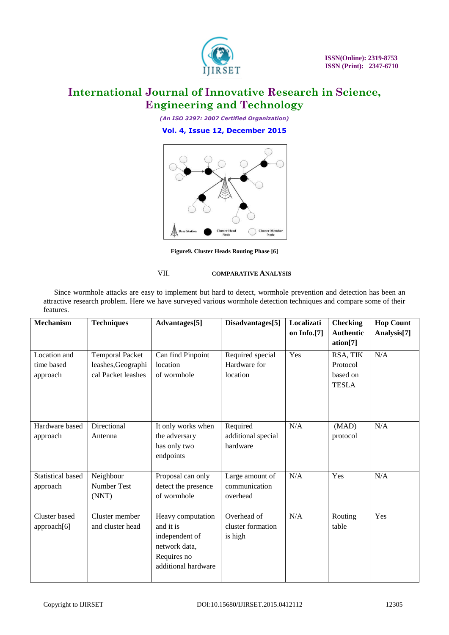

*(An ISO 3297: 2007 Certified Organization)* **Vol. 4, Issue 12, December 2015**



**Figure9. Cluster Heads Routing Phase [6]**

### VII. **COMPARATIVE ANALYSIS**

Since wormhole attacks are easy to implement but hard to detect, wormhole prevention and detection has been an attractive research problem. Here we have surveyed various wormhole detection techniques and compare some of their features.

| <b>Mechanism</b>                       | <b>Techniques</b>                                                  | Advantages[5]                                                                                           | Disadvantages[5]                             | Localizati<br>on Info.[7] | <b>Checking</b><br><b>Authentic</b><br>ation[7]  | <b>Hop Count</b><br>Analysis <sup>[7]</sup> |
|----------------------------------------|--------------------------------------------------------------------|---------------------------------------------------------------------------------------------------------|----------------------------------------------|---------------------------|--------------------------------------------------|---------------------------------------------|
| Location and<br>time based<br>approach | <b>Temporal Packet</b><br>leashes, Geographi<br>cal Packet leashes | Can find Pinpoint<br>location<br>of wormhole                                                            | Required special<br>Hardware for<br>location | Yes                       | RSA, TIK<br>Protocol<br>based on<br><b>TESLA</b> | N/A                                         |
| Hardware based<br>approach             | Directional<br>Antenna                                             | It only works when<br>the adversary<br>has only two<br>endpoints                                        | Required<br>additional special<br>hardware   | N/A                       | (MAD)<br>protocol                                | N/A                                         |
| <b>Statistical based</b><br>approach   | Neighbour<br><b>Number Test</b><br>(NNT)                           | Proposal can only<br>detect the presence<br>of wormhole                                                 | Large amount of<br>communication<br>overhead | N/A                       | Yes                                              | N/A                                         |
| Cluster based<br>approach[6]           | Cluster member<br>and cluster head                                 | Heavy computation<br>and it is<br>independent of<br>network data,<br>Requires no<br>additional hardware | Overhead of<br>cluster formation<br>is high  | N/A                       | Routing<br>table                                 | Yes                                         |